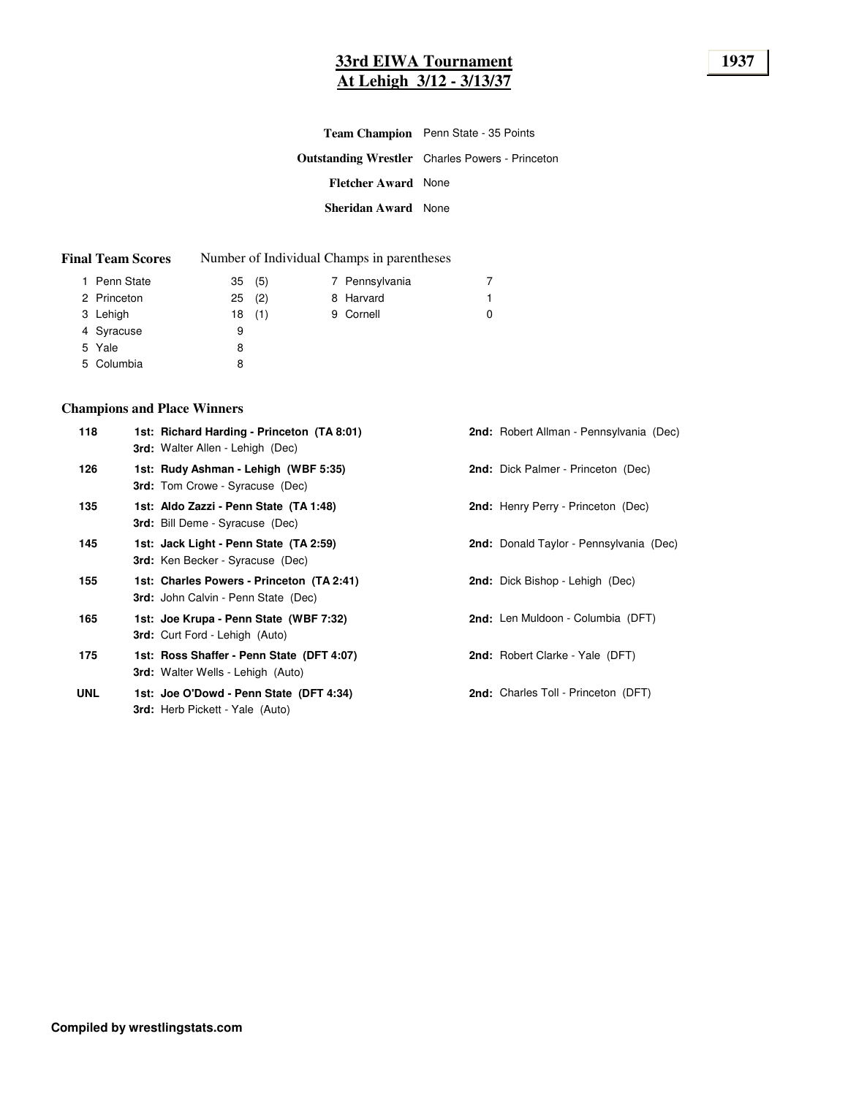# **33rd EIWA Tournament 1937 At Lehigh 3/12 - 3/13/37**

|                            | <b>Team Champion</b> Penn State - 35 Points            |
|----------------------------|--------------------------------------------------------|
|                            | <b>Outstanding Wrestler</b> Charles Powers - Princeton |
| <b>Fletcher Award</b> None |                                                        |
| Sheridan Award None        |                                                        |

| <b>Final Team Scores</b> |    |       | Number of Individual Champs in parentheses |   |
|--------------------------|----|-------|--------------------------------------------|---|
| 1 Penn State             |    | 35(5) | 7 Pennsylvania                             | 7 |
| 2 Princeton              | 25 | (2)   | 8 Harvard                                  |   |
| 3 Lehigh                 |    | 18(1) | 9 Cornell                                  | 0 |
| 4 Syracuse               | 9  |       |                                            |   |
| 5 Yale                   | 8  |       |                                            |   |
| 5 Columbia               |    |       |                                            |   |

### **Champions and Place Winners**

| 118        | 1st: Richard Harding - Princeton (TA 8:01)<br><b>3rd:</b> Walter Allen - Lehigh (Dec)   | <b>2nd:</b> Robert Allman - Pennsylvania (Dec) |
|------------|-----------------------------------------------------------------------------------------|------------------------------------------------|
| 126        | 1st: Rudy Ashman - Lehigh (WBF 5:35)<br><b>3rd:</b> Tom Crowe - Syracuse (Dec)          | <b>2nd:</b> Dick Palmer - Princeton (Dec)      |
| 135        | 1st: Aldo Zazzi - Penn State (TA 1:48)<br><b>3rd:</b> Bill Deme - Syracuse (Dec)        | 2nd: Henry Perry - Princeton (Dec)             |
| 145        | 1st: Jack Light - Penn State (TA 2:59)<br><b>3rd:</b> Ken Becker - Syracuse (Dec)       | <b>2nd:</b> Donald Taylor - Pennsylvania (Dec) |
| 155        | 1st: Charles Powers - Princeton (TA 2:41)<br><b>3rd:</b> John Calvin - Penn State (Dec) | <b>2nd:</b> Dick Bishop - Lehigh (Dec)         |
| 165        | 1st: Joe Krupa - Penn State (WBF 7:32)<br><b>3rd:</b> Curt Ford - Lehigh (Auto)         | <b>2nd:</b> Len Muldoon - Columbia (DFT)       |
| 175        | 1st: Ross Shaffer - Penn State (DFT 4:07)<br><b>3rd:</b> Walter Wells - Lehigh (Auto)   | <b>2nd:</b> Robert Clarke - Yale (DFT)         |
| <b>UNL</b> | 1st: Joe O'Dowd - Penn State (DFT 4:34)<br><b>3rd:</b> Herb Pickett - Yale (Auto)       | 2nd: Charles Toll - Princeton (DFT)            |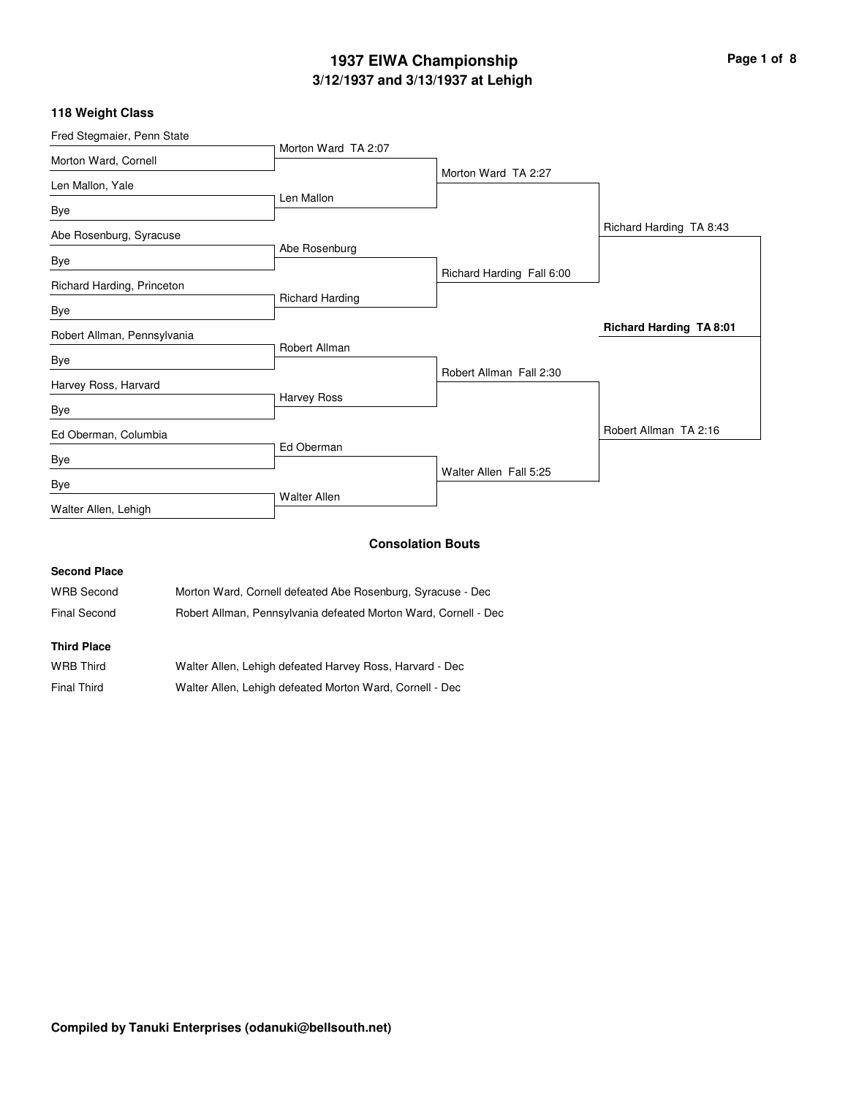# **3/12/1937 and 3/13/1937 at Lehigh 1937 EIWA Championship Page 1 of 8**

#### **118 Weight Class**

| Morton Ward TA 2:07 |                                                                                 |                                                                                 |
|---------------------|---------------------------------------------------------------------------------|---------------------------------------------------------------------------------|
|                     | Morton Ward TA 2:27                                                             |                                                                                 |
| Len Mallon          |                                                                                 |                                                                                 |
|                     |                                                                                 | Richard Harding TA 8:43                                                         |
|                     |                                                                                 |                                                                                 |
|                     |                                                                                 |                                                                                 |
|                     |                                                                                 |                                                                                 |
|                     |                                                                                 |                                                                                 |
|                     |                                                                                 | <b>Richard Harding TA 8:01</b>                                                  |
|                     |                                                                                 |                                                                                 |
|                     | Robert Allman Fall 2:30                                                         |                                                                                 |
| Harvey Ross         |                                                                                 |                                                                                 |
|                     |                                                                                 | Robert Allman TA 2:16                                                           |
| Ed Oberman          |                                                                                 |                                                                                 |
|                     |                                                                                 |                                                                                 |
|                     |                                                                                 |                                                                                 |
|                     |                                                                                 |                                                                                 |
|                     |                                                                                 |                                                                                 |
|                     | Abe Rosenburg<br><b>Richard Harding</b><br>Robert Allman<br><b>Walter Allen</b> | Richard Harding Fall 6:00<br>Walter Allen Fall 5:25<br><b>Consolation Bouts</b> |

#### **Second Place**

WRB Second Morton Ward, Cornell defeated Abe Rosenburg, Syracuse - Dec Final Second Robert Allman, Pennsylvania defeated Morton Ward, Cornell - Dec

#### **Third Place**

| <b>WRB Third</b>   | Walter Allen, Lehigh defeated Harvey Ross, Harvard - Dec |
|--------------------|----------------------------------------------------------|
| <b>Final Third</b> | Walter Allen, Lehigh defeated Morton Ward, Cornell - Dec |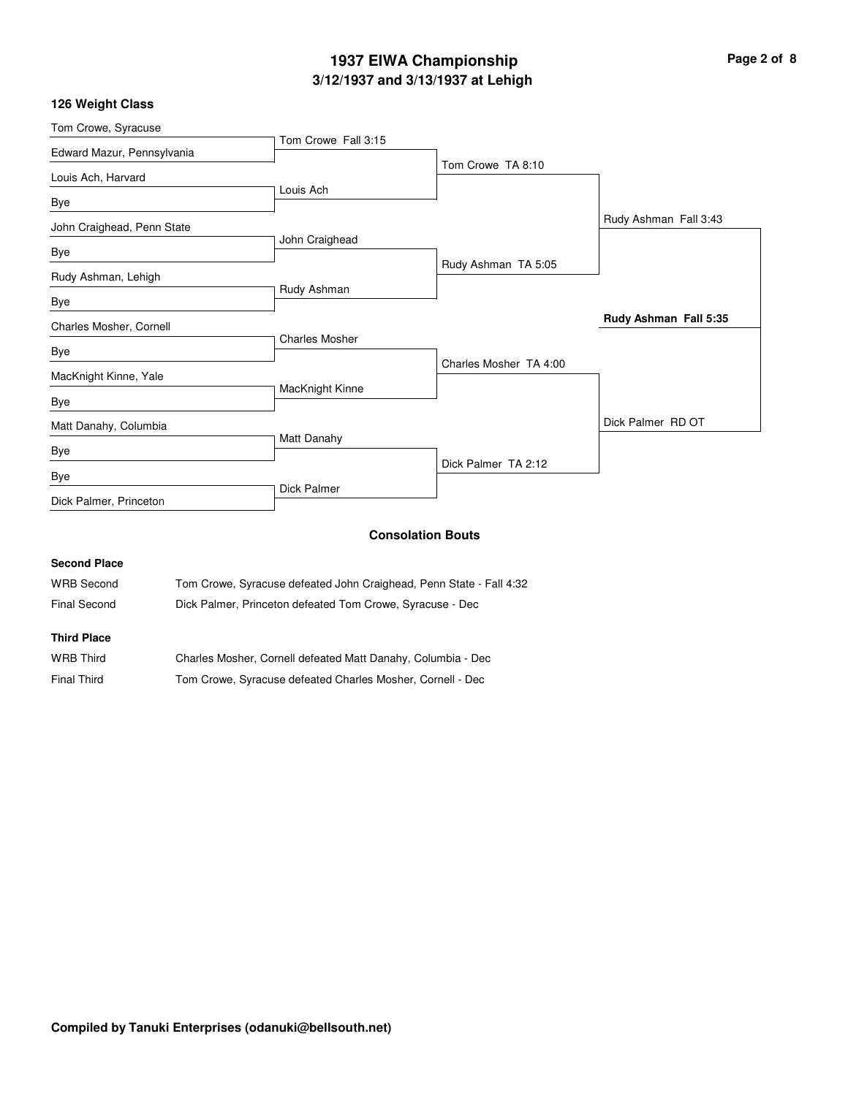# **3/12/1937 and 3/13/1937 at Lehigh 1937 EIWA Championship Page 2 of 8**

### **126 Weight Class**

|             | Tom Crowe TA 8:10                                                                                                            |                       |
|-------------|------------------------------------------------------------------------------------------------------------------------------|-----------------------|
|             |                                                                                                                              |                       |
|             |                                                                                                                              |                       |
|             |                                                                                                                              | Rudy Ashman Fall 3:43 |
|             |                                                                                                                              |                       |
|             | Rudy Ashman TA 5:05                                                                                                          |                       |
| Rudy Ashman |                                                                                                                              |                       |
|             |                                                                                                                              | Rudy Ashman Fall 5:35 |
|             |                                                                                                                              |                       |
|             | Charles Mosher TA 4:00                                                                                                       |                       |
|             |                                                                                                                              |                       |
|             |                                                                                                                              |                       |
|             |                                                                                                                              | Dick Palmer RD OT     |
|             |                                                                                                                              |                       |
|             |                                                                                                                              |                       |
|             |                                                                                                                              |                       |
|             | Tom Crowe Fall 3:15<br>Louis Ach<br>John Craighead<br><b>Charles Mosher</b><br>MacKnight Kinne<br>Matt Danahy<br>Dick Palmer | Dick Palmer TA 2:12   |

#### **Consolation Bouts**

### **Second Place**

| <b>WRB Second</b> | Tom Crowe, Syracuse defeated John Craighead, Penn State - Fall 4:32 |
|-------------------|---------------------------------------------------------------------|
| Final Second      | Dick Palmer, Princeton defeated Tom Crowe, Syracuse - Dec           |

### **Third Place**

| WRB Third   | Charles Mosher, Cornell defeated Matt Danahy, Columbia - Dec |
|-------------|--------------------------------------------------------------|
| Final Third | Tom Crowe, Syracuse defeated Charles Mosher, Cornell - Dec   |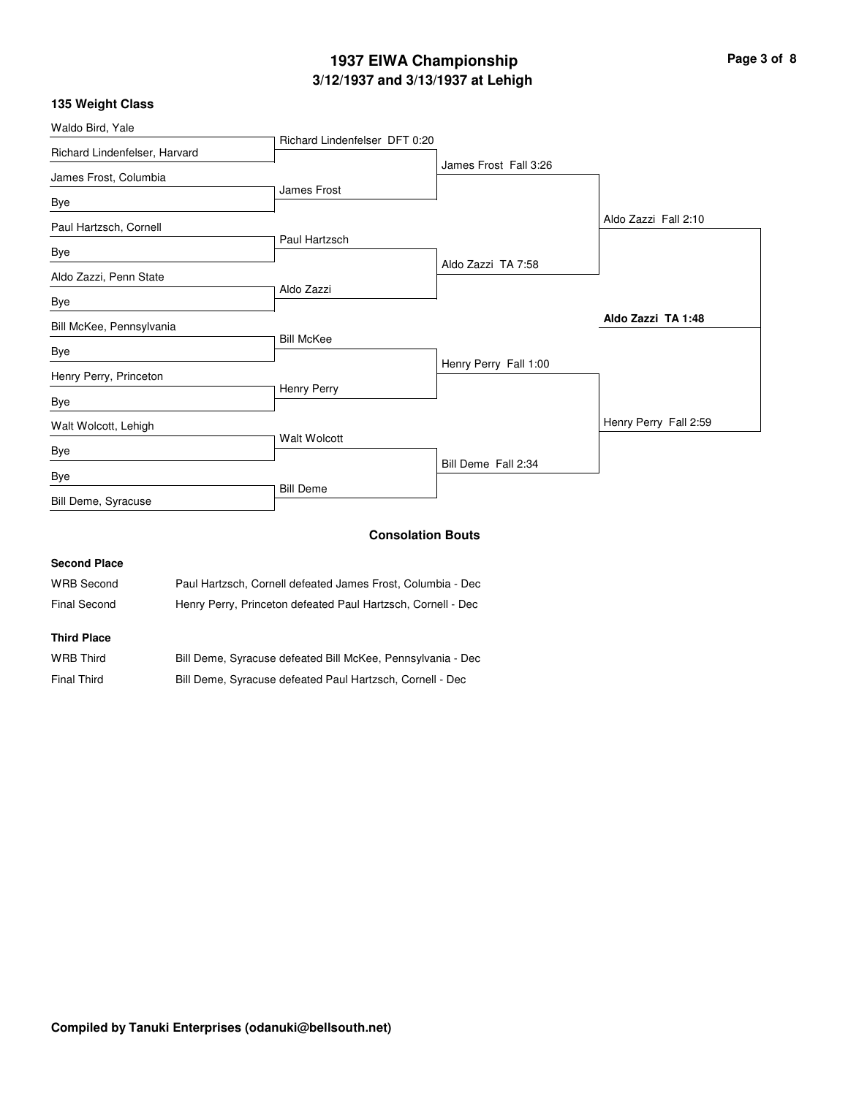# **3/12/1937 and 3/13/1937 at Lehigh 1937 EIWA Championship Page 3 of 8**

#### **135 Weight Class**

| Waldo Bird, Yale              |                               |                       |                       |
|-------------------------------|-------------------------------|-----------------------|-----------------------|
|                               | Richard Lindenfelser DFT 0:20 |                       |                       |
| Richard Lindenfelser, Harvard |                               | James Frost Fall 3:26 |                       |
| James Frost, Columbia         |                               |                       |                       |
| Bye                           | James Frost                   |                       |                       |
| Paul Hartzsch, Cornell        |                               |                       | Aldo Zazzi Fall 2:10  |
| Bye                           | Paul Hartzsch                 |                       |                       |
| Aldo Zazzi, Penn State        |                               | Aldo Zazzi TA 7:58    |                       |
| Bye                           | Aldo Zazzi                    |                       |                       |
| Bill McKee, Pennsylvania      |                               |                       | Aldo Zazzi TA 1:48    |
| Bye                           | <b>Bill McKee</b>             |                       |                       |
|                               |                               | Henry Perry Fall 1:00 |                       |
| Henry Perry, Princeton        |                               |                       |                       |
| Bye                           | <b>Henry Perry</b>            |                       |                       |
| Walt Wolcott, Lehigh          |                               |                       | Henry Perry Fall 2:59 |
| Bye                           | Walt Wolcott                  |                       |                       |
| Bye                           |                               | Bill Deme Fall 2:34   |                       |
| Bill Deme, Syracuse           | <b>Bill Deme</b>              |                       |                       |
|                               |                               | Canaalatian Dauta     |                       |

#### **Consolation Bouts**

# **Second Place** WRB Second Paul Hartzsch, Cornell defeated James Frost, Columbia - Dec Final Second Henry Perry, Princeton defeated Paul Hartzsch, Cornell - Dec **Third Place**

| <b>WRB Third</b> | Bill Deme, Syracuse defeated Bill McKee, Pennsylvania - Dec |
|------------------|-------------------------------------------------------------|
| Final Third      | Bill Deme, Syracuse defeated Paul Hartzsch, Cornell - Dec   |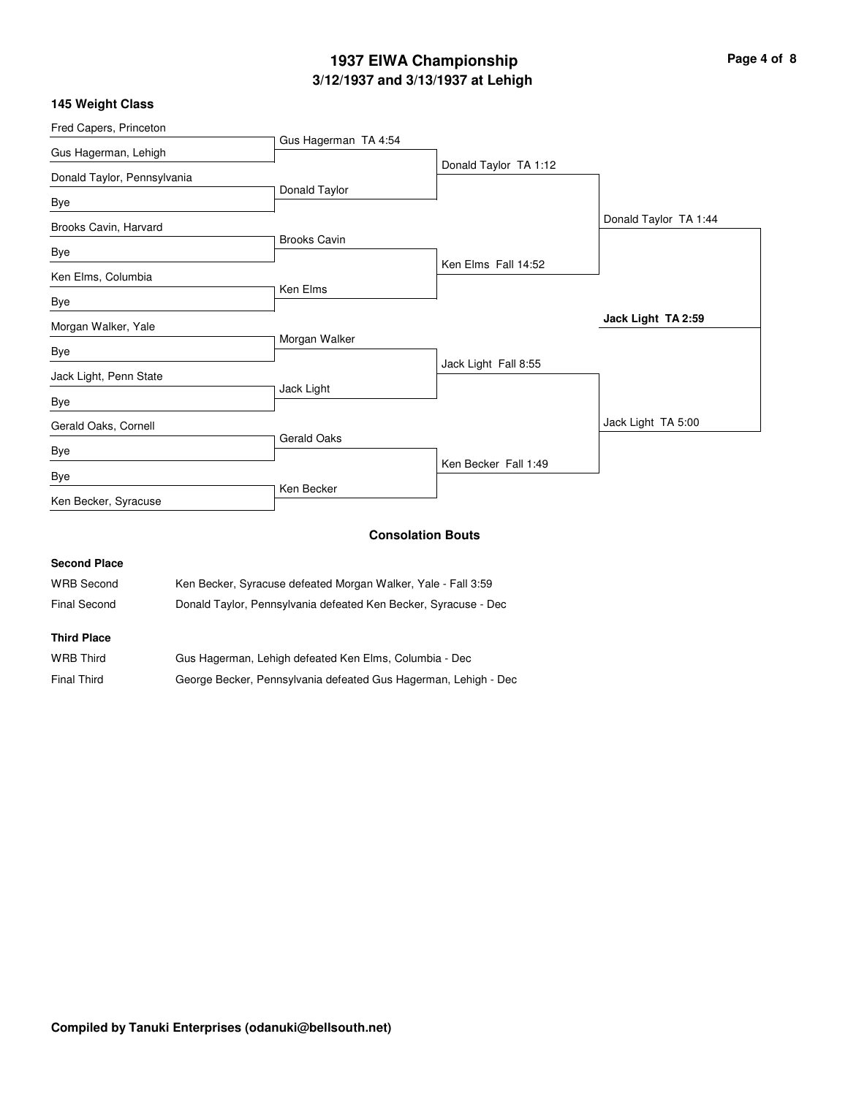# **3/12/1937 and 3/13/1937 at Lehigh 1937 EIWA Championship Page 4 of 8**

#### **145 Weight Class**

| Fred Capers, Princeton      |                      |                          |                       |
|-----------------------------|----------------------|--------------------------|-----------------------|
|                             | Gus Hagerman TA 4:54 |                          |                       |
| Gus Hagerman, Lehigh        |                      | Donald Taylor TA 1:12    |                       |
| Donald Taylor, Pennsylvania |                      |                          |                       |
| Bye                         | Donald Taylor        |                          |                       |
| Brooks Cavin, Harvard       |                      |                          | Donald Taylor TA 1:44 |
| Bye                         | <b>Brooks Cavin</b>  |                          |                       |
|                             |                      | Ken Elms Fall 14:52      |                       |
| Ken Elms, Columbia          |                      |                          |                       |
| Bye                         | Ken Elms             |                          |                       |
| Morgan Walker, Yale         |                      |                          | Jack Light TA 2:59    |
| Bye                         | Morgan Walker        |                          |                       |
| Jack Light, Penn State      |                      | Jack Light Fall 8:55     |                       |
|                             | Jack Light           |                          |                       |
| Bye                         |                      |                          |                       |
| Gerald Oaks, Cornell        |                      |                          | Jack Light TA 5:00    |
| Bye                         | <b>Gerald Oaks</b>   |                          |                       |
|                             |                      | Ken Becker Fall 1:49     |                       |
| Bye                         | Ken Becker           |                          |                       |
| Ken Becker, Syracuse        |                      |                          |                       |
|                             |                      | <b>Consolation Bouts</b> |                       |

# **Second Place** WRB Second Ken Becker, Syracuse defeated Morgan Walker, Yale - Fall 3:59 Final Second Donald Taylor, Pennsylvania defeated Ken Becker, Syracuse - Dec **Third Place**

| <b>WRB Third</b>   | Gus Hagerman, Lehigh defeated Ken Elms, Columbia - Dec          |
|--------------------|-----------------------------------------------------------------|
| <b>Final Third</b> | George Becker, Pennsylvania defeated Gus Hagerman, Lehigh - Dec |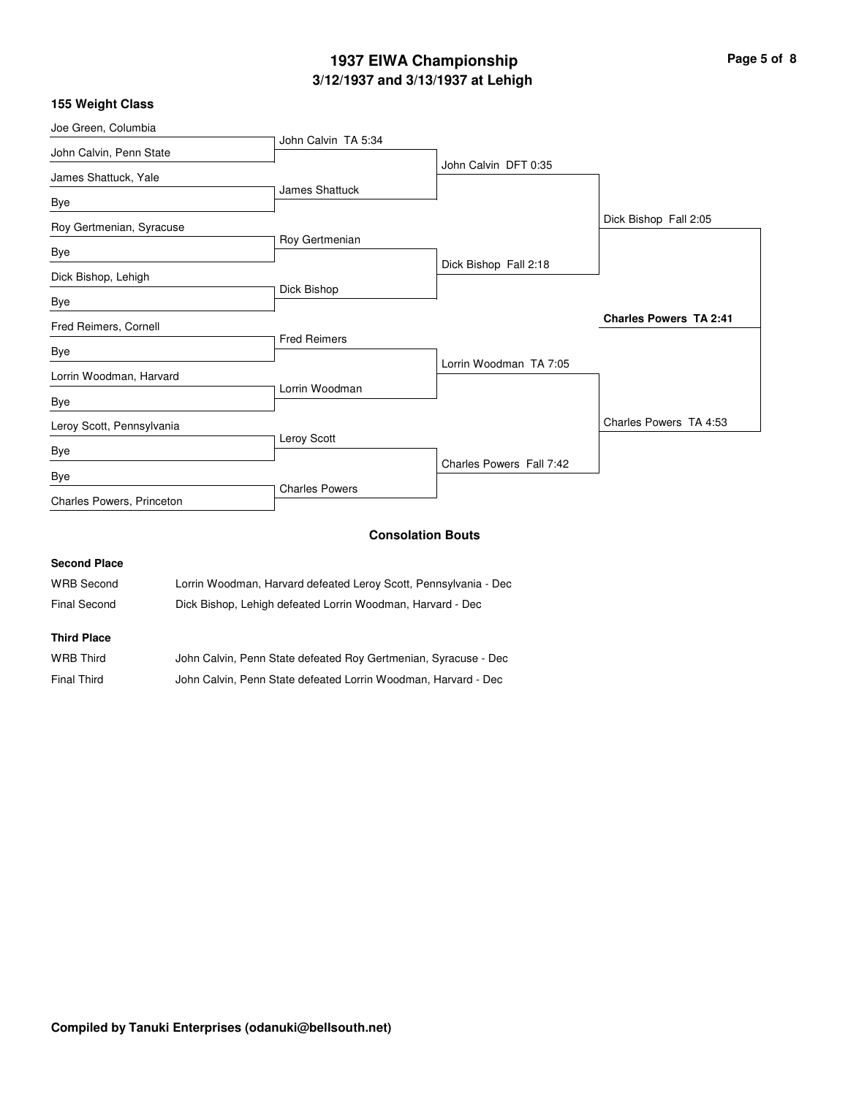# **3/12/1937 and 3/13/1937 at Lehigh 1937 EIWA Championship Page 5 of 8**

### **155 Weight Class**

| Joe Green, Columbia       |                       |                          |                               |
|---------------------------|-----------------------|--------------------------|-------------------------------|
| John Calvin, Penn State   | John Calvin TA 5:34   |                          |                               |
|                           |                       | John Calvin DFT 0:35     |                               |
| James Shattuck, Yale      | <b>James Shattuck</b> |                          |                               |
| Bye                       |                       |                          |                               |
| Roy Gertmenian, Syracuse  |                       |                          | Dick Bishop Fall 2:05         |
|                           | Roy Gertmenian        |                          |                               |
| Bye                       |                       | Dick Bishop Fall 2:18    |                               |
| Dick Bishop, Lehigh       |                       |                          |                               |
| Bye                       | Dick Bishop           |                          |                               |
| Fred Reimers, Cornell     |                       |                          | <b>Charles Powers TA 2:41</b> |
|                           | <b>Fred Reimers</b>   |                          |                               |
| Bye                       |                       | Lorrin Woodman TA 7:05   |                               |
| Lorrin Woodman, Harvard   |                       |                          |                               |
| Bye                       | Lorrin Woodman        |                          |                               |
| Leroy Scott, Pennsylvania |                       |                          | Charles Powers TA 4:53        |
|                           | Leroy Scott           |                          |                               |
| Bye                       |                       | Charles Powers Fall 7:42 |                               |
| Bye                       |                       |                          |                               |
| Charles Powers, Princeton | <b>Charles Powers</b> |                          |                               |
|                           |                       |                          |                               |

### **Consolation Bouts**

#### **Second Place**

| Final Second      | Dick Bishop, Lehigh defeated Lorrin Woodman, Harvard - Dec       |
|-------------------|------------------------------------------------------------------|
| <b>WRB Second</b> | Lorrin Woodman, Harvard defeated Leroy Scott, Pennsylvania - Dec |

### **Third Place**

| WRB Third   | John Calvin, Penn State defeated Roy Gertmenian, Syracuse - Dec |
|-------------|-----------------------------------------------------------------|
| Final Third | John Calvin, Penn State defeated Lorrin Woodman, Harvard - Dec  |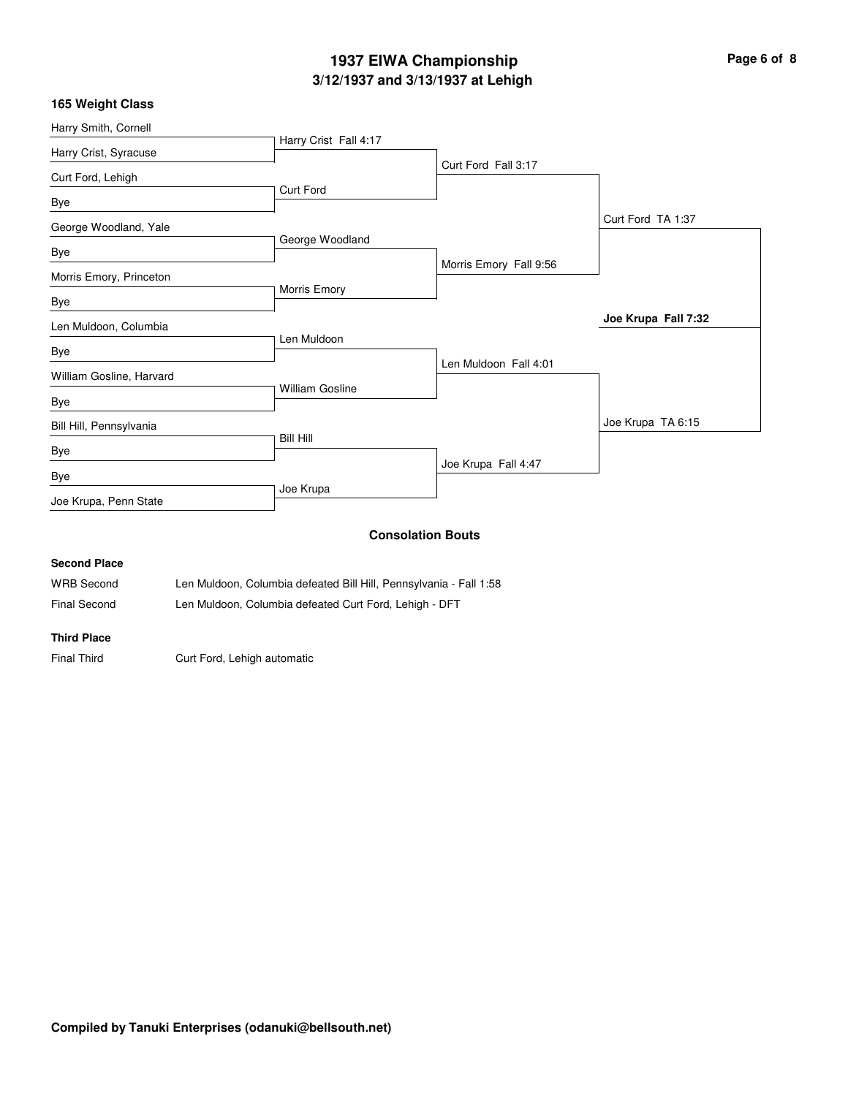# **3/12/1937 and 3/13/1937 at Lehigh 1937 EIWA Championship Page 6 of 8**

| 165 Weight Class         |                                                                                                                                                                                                                                                                                                  |                          |                     |
|--------------------------|--------------------------------------------------------------------------------------------------------------------------------------------------------------------------------------------------------------------------------------------------------------------------------------------------|--------------------------|---------------------|
| Harry Smith, Cornell     |                                                                                                                                                                                                                                                                                                  |                          |                     |
| Harry Crist, Syracuse    | Harry Crist Fall 4:17                                                                                                                                                                                                                                                                            |                          |                     |
| Curt Ford, Lehigh        |                                                                                                                                                                                                                                                                                                  | Curt Ford Fall 3:17      |                     |
| Bye                      | <b>Curt Ford</b>                                                                                                                                                                                                                                                                                 |                          |                     |
| George Woodland, Yale    |                                                                                                                                                                                                                                                                                                  |                          | Curt Ford TA 1:37   |
|                          | George Woodland                                                                                                                                                                                                                                                                                  |                          |                     |
| Bye                      |                                                                                                                                                                                                                                                                                                  | Morris Emory Fall 9:56   |                     |
| Morris Emory, Princeton  | Morris Emory                                                                                                                                                                                                                                                                                     |                          |                     |
| Bye                      |                                                                                                                                                                                                                                                                                                  |                          | Joe Krupa Fall 7:32 |
| Len Muldoon, Columbia    | Len Muldoon                                                                                                                                                                                                                                                                                      |                          |                     |
| <b>Bye</b>               |                                                                                                                                                                                                                                                                                                  |                          |                     |
| William Gosline, Harvard |                                                                                                                                                                                                                                                                                                  | Len Muldoon Fall 4:01    |                     |
| Bye                      | <b>William Gosline</b>                                                                                                                                                                                                                                                                           |                          |                     |
| Bill Hill, Pennsylvania  |                                                                                                                                                                                                                                                                                                  |                          | Joe Krupa TA 6:15   |
| Bye                      | <b>Bill Hill</b>                                                                                                                                                                                                                                                                                 |                          |                     |
|                          |                                                                                                                                                                                                                                                                                                  | Joe Krupa Fall 4:47      |                     |
| Bye                      | Joe Krupa                                                                                                                                                                                                                                                                                        |                          |                     |
| Joe Krupa, Penn State    |                                                                                                                                                                                                                                                                                                  |                          |                     |
|                          |                                                                                                                                                                                                                                                                                                  | <b>Consolation Bouts</b> |                     |
| <b>Second Place</b>      |                                                                                                                                                                                                                                                                                                  |                          |                     |
| $\cdots$                 | $\mathbf{r}$ and $\mathbf{r}$ and $\mathbf{r}$ and $\mathbf{r}$ and $\mathbf{r}$ and $\mathbf{r}$ and $\mathbf{r}$ and $\mathbf{r}$ and $\mathbf{r}$ and $\mathbf{r}$ and $\mathbf{r}$ and $\mathbf{r}$ and $\mathbf{r}$ and $\mathbf{r}$ and $\mathbf{r}$ and $\mathbf{r}$ and $\mathbf{r}$ and | $  -$                    |                     |

WRB Second Len Muldoon, Columbia defeated Bill Hill, Pennsylvania - Fall 1:58 Final Second Len Muldoon, Columbia defeated Curt Ford, Lehigh - DFT

**Third Place**

Final Third Curt Ford, Lehigh automatic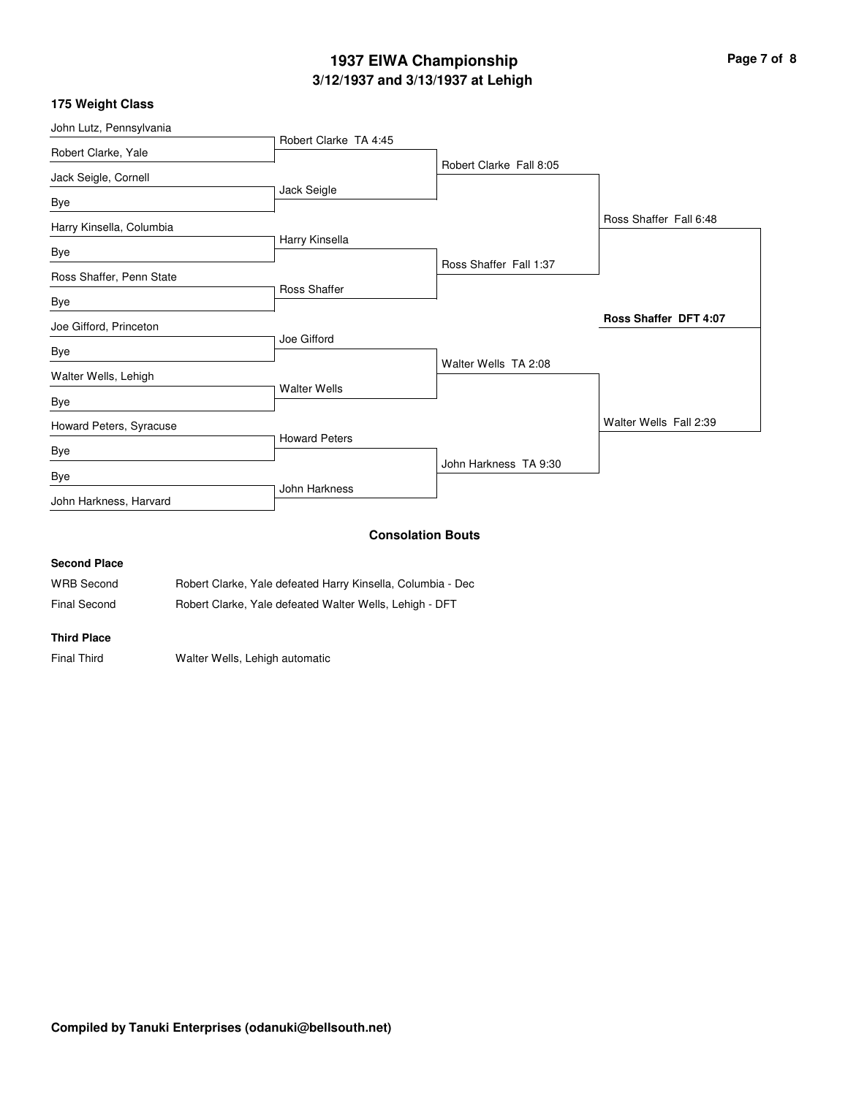# **3/12/1937 and 3/13/1937 at Lehigh 1937 EIWA Championship Page 7 of 8**

|  |  |  |  | 175 Weight Class |
|--|--|--|--|------------------|
|--|--|--|--|------------------|

| John Lutz, Pennsylvania  |                       |                          |                              |
|--------------------------|-----------------------|--------------------------|------------------------------|
| Robert Clarke, Yale      | Robert Clarke TA 4:45 |                          |                              |
|                          |                       | Robert Clarke Fall 8:05  |                              |
| Jack Seigle, Cornell     | Jack Seigle           |                          |                              |
| Bye                      |                       |                          |                              |
| Harry Kinsella, Columbia |                       |                          | Ross Shaffer Fall 6:48       |
| Bye                      | Harry Kinsella        |                          |                              |
|                          |                       | Ross Shaffer Fall 1:37   |                              |
| Ross Shaffer, Penn State | Ross Shaffer          |                          |                              |
| Bye                      |                       |                          |                              |
| Joe Gifford, Princeton   |                       |                          | <b>Ross Shaffer DFT 4:07</b> |
|                          | Joe Gifford           |                          |                              |
| Bye                      |                       | Walter Wells TA 2:08     |                              |
| Walter Wells, Lehigh     |                       |                          |                              |
| Bye                      | <b>Walter Wells</b>   |                          |                              |
| Howard Peters, Syracuse  |                       |                          | Walter Wells Fall 2:39       |
|                          | <b>Howard Peters</b>  |                          |                              |
| Bye                      |                       | John Harkness TA 9:30    |                              |
| Bye                      |                       |                          |                              |
| John Harkness, Harvard   | John Harkness         |                          |                              |
|                          |                       | <b>Consolation Bouts</b> |                              |

#### **Consolation Bouts**

### **Second Place**

| <b>WRB Second</b> | Robert Clarke, Yale defeated Harry Kinsella, Columbia - Dec |
|-------------------|-------------------------------------------------------------|
| Final Second      | Robert Clarke, Yale defeated Walter Wells, Lehigh - DFT     |

#### **Third Place**

Final Third Walter Wells, Lehigh automatic